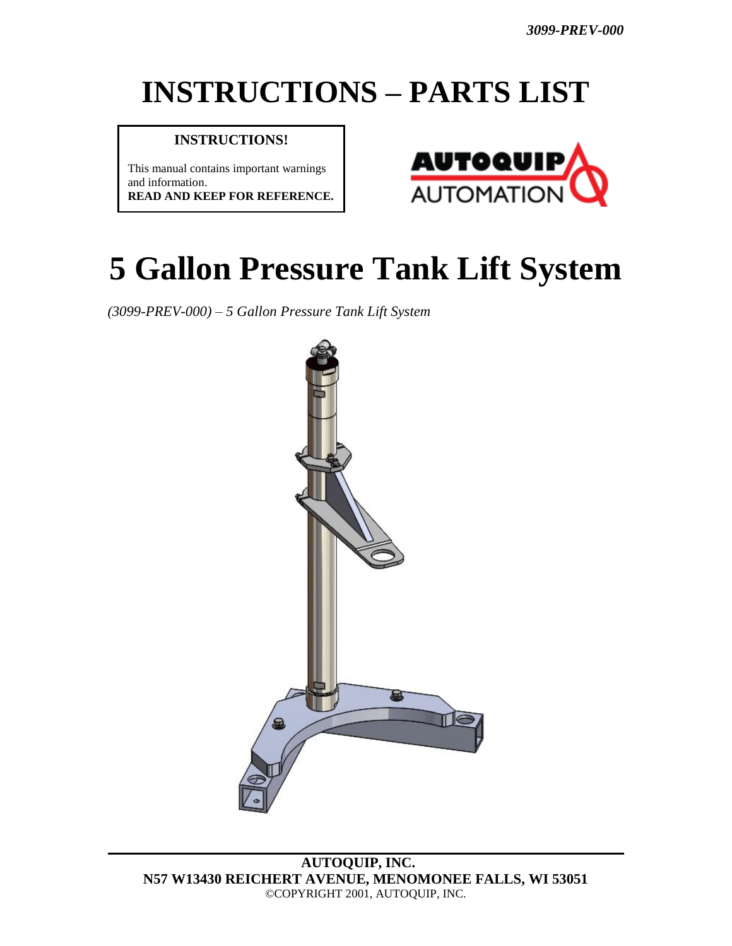# **INSTRUCTIONS – PARTS LIST**

#### **INSTRUCTIONS!**

This manual contains important warnings and information. **READ AND KEEP FOR REFERENCE.**



# **5 Gallon Pressure Tank Lift System**

*(3099-PREV-000) – 5 Gallon Pressure Tank Lift System*



**AUTOQUIP, INC. N57 W13430 REICHERT AVENUE, MENOMONEE FALLS, WI 53051** ©COPYRIGHT 2001, AUTOQUIP, INC.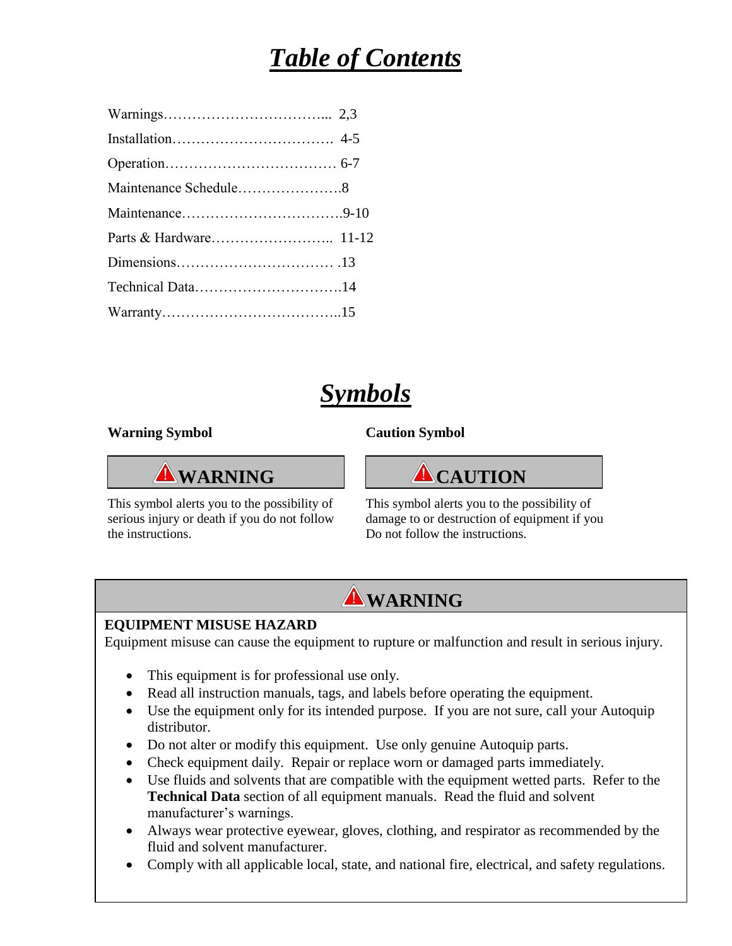# *Table of Contents*

| Maintenance Schedule8 |  |
|-----------------------|--|
|                       |  |
|                       |  |
|                       |  |
|                       |  |
|                       |  |

### *Symbols*

#### **Warning Symbol Caution Symbol**

This symbol alerts you to the possibility of This symbol alerts you to the possibility of the instructions. Do not follow the instructions.





serious injury or death if you do not follow damage to or destruction of equipment if you

2

### **WARNING**

#### **EQUIPMENT MISUSE HAZARD**

Equipment misuse can cause the equipment to rupture or malfunction and result in serious injury.

- This equipment is for professional use only.
- Read all instruction manuals, tags, and labels before operating the equipment.
- Use the equipment only for its intended purpose. If you are not sure, call your Autoquip distributor.
- Do not alter or modify this equipment. Use only genuine Autoquip parts.
- Check equipment daily. Repair or replace worn or damaged parts immediately.
- Use fluids and solvents that are compatible with the equipment wetted parts. Refer to the **Technical Data** section of all equipment manuals. Read the fluid and solvent manufacturer's warnings.
- Always wear protective eyewear, gloves, clothing, and respirator as recommended by the fluid and solvent manufacturer.
- Comply with all applicable local, state, and national fire, electrical, and safety regulations.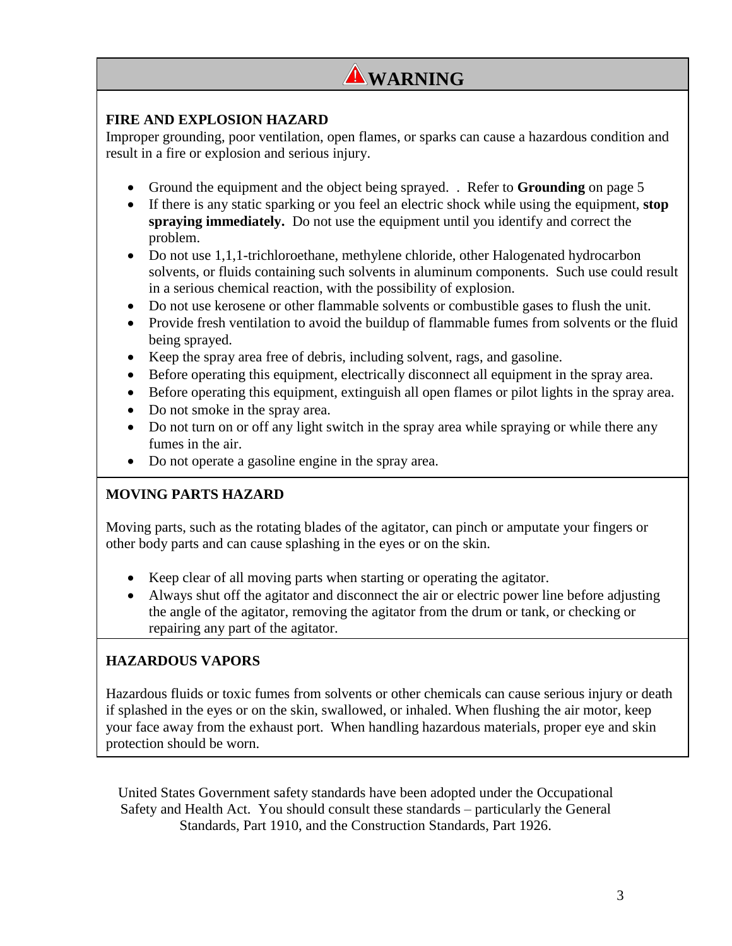### **WARNING**

#### **FIRE AND EXPLOSION HAZARD**

Improper grounding, poor ventilation, open flames, or sparks can cause a hazardous condition and result in a fire or explosion and serious injury.

- Ground the equipment and the object being sprayed. . Refer to **Grounding** on page 5
- If there is any static sparking or you feel an electric shock while using the equipment, **stop spraying immediately.** Do not use the equipment until you identify and correct the problem.
- Do not use 1,1,1-trichloroethane, methylene chloride, other Halogenated hydrocarbon solvents, or fluids containing such solvents in aluminum components. Such use could result in a serious chemical reaction, with the possibility of explosion.
- Do not use kerosene or other flammable solvents or combustible gases to flush the unit.
- Provide fresh ventilation to avoid the buildup of flammable fumes from solvents or the fluid being sprayed.
- Keep the spray area free of debris, including solvent, rags, and gasoline.
- Before operating this equipment, electrically disconnect all equipment in the spray area.
- Before operating this equipment, extinguish all open flames or pilot lights in the spray area.
- Do not smoke in the spray area.
- Do not turn on or off any light switch in the spray area while spraying or while there any fumes in the air.
- Do not operate a gasoline engine in the spray area.

#### **MOVING PARTS HAZARD**

Moving parts, such as the rotating blades of the agitator, can pinch or amputate your fingers or other body parts and can cause splashing in the eyes or on the skin.

- Keep clear of all moving parts when starting or operating the agitator.
- Always shut off the agitator and disconnect the air or electric power line before adjusting the angle of the agitator, removing the agitator from the drum or tank, or checking or repairing any part of the agitator.

#### **HAZARDOUS VAPORS**

Hazardous fluids or toxic fumes from solvents or other chemicals can cause serious injury or death if splashed in the eyes or on the skin, swallowed, or inhaled. When flushing the air motor, keep your face away from the exhaust port. When handling hazardous materials, proper eye and skin protection should be worn.

United States Government safety standards have been adopted under the Occupational Safety and Health Act. You should consult these standards – particularly the General Standards, Part 1910, and the Construction Standards, Part 1926.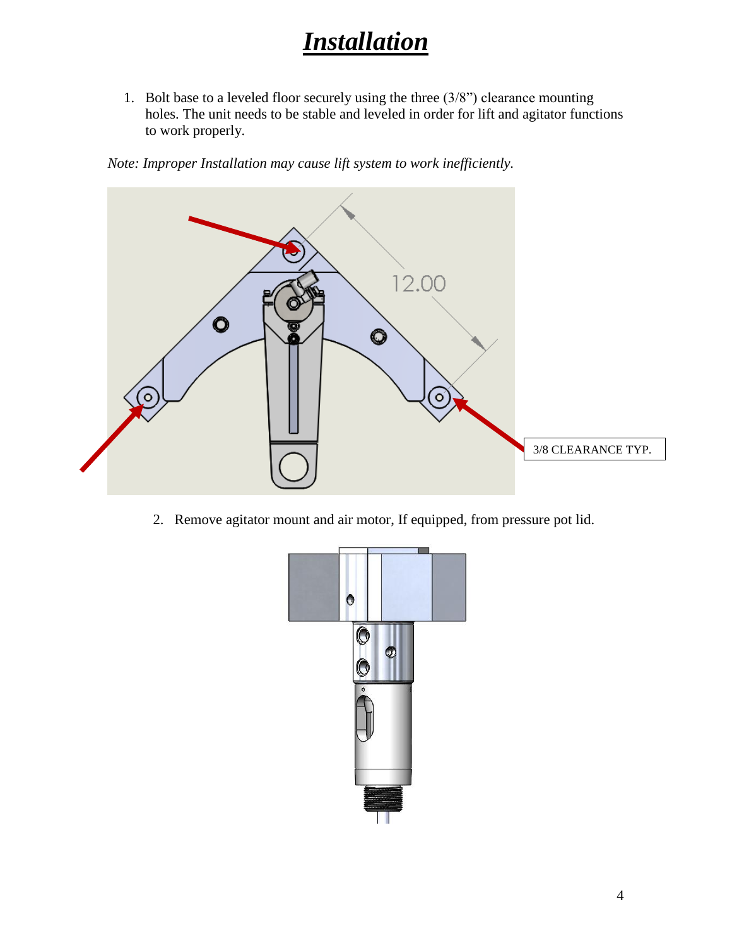# *Installation*

1. Bolt base to a leveled floor securely using the three (3/8") clearance mounting holes. The unit needs to be stable and leveled in order for lift and agitator functions to work properly.

*Note: Improper Installation may cause lift system to work inefficiently.*



2. Remove agitator mount and air motor, If equipped, from pressure pot lid.

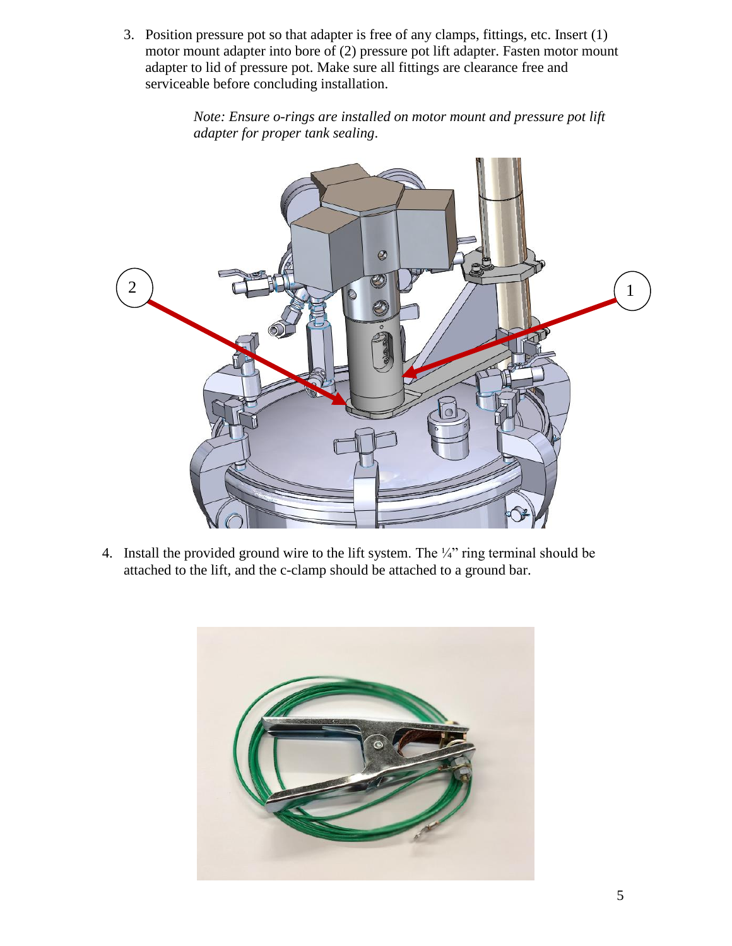3. Position pressure pot so that adapter is free of any clamps, fittings, etc. Insert (1) motor mount adapter into bore of (2) pressure pot lift adapter. Fasten motor mount adapter to lid of pressure pot. Make sure all fittings are clearance free and serviceable before concluding installation.

> *Note: Ensure o-rings are installed on motor mount and pressure pot lift adapter for proper tank sealing*.



4. Install the provided ground wire to the lift system. The ¼" ring terminal should be attached to the lift, and the c-clamp should be attached to a ground bar.

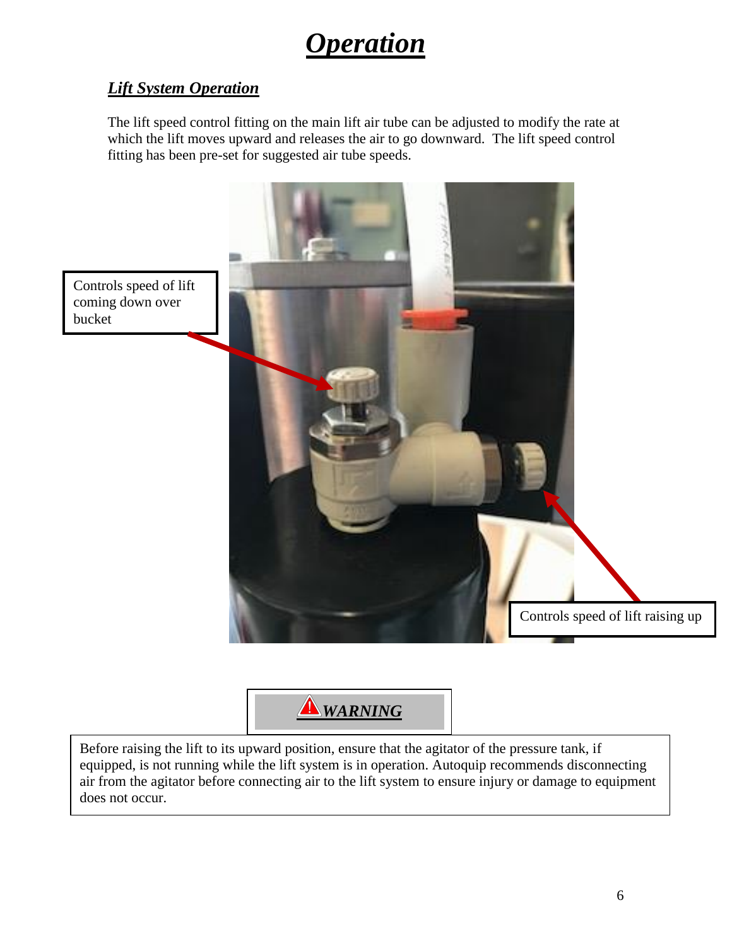# *Operation*

### *Lift System Operation*

The lift speed control fitting on the main lift air tube can be adjusted to modify the rate at which the lift moves upward and releases the air to go downward. The lift speed control fitting has been pre-set for suggested air tube speeds.





Before raising the lift to its upward position, ensure that the agitator of the pressure tank, if equipped, is not running while the lift system is in operation. Autoquip recommends disconnecting air from the agitator before connecting air to the lift system to ensure injury or damage to equipment does not occur.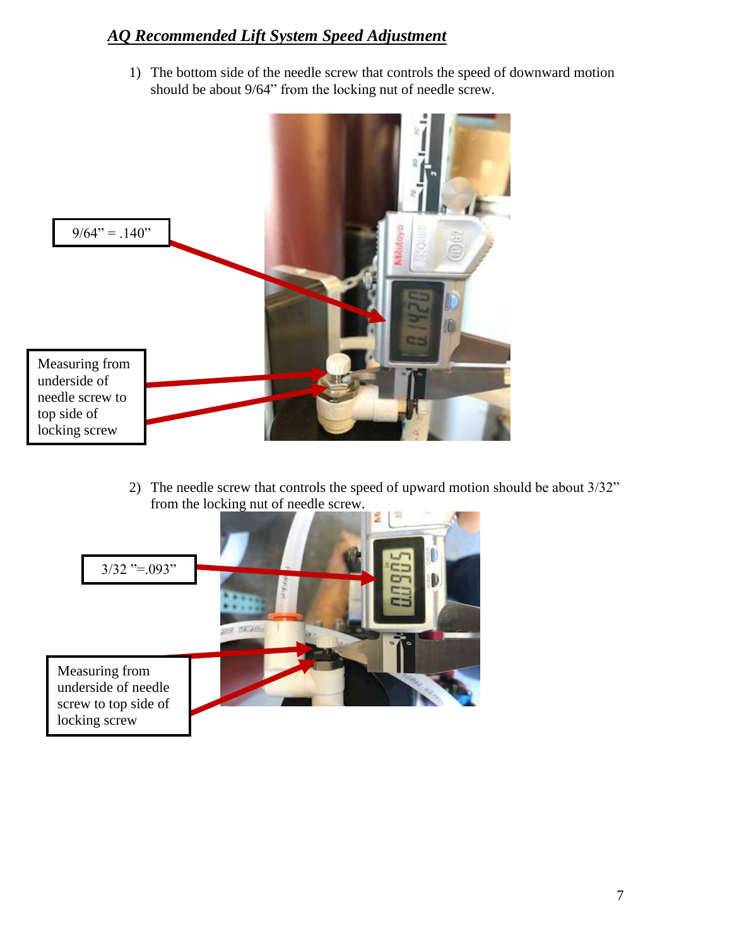### *AQ Recommended Lift System Speed Adjustment*

1) The bottom side of the needle screw that controls the speed of downward motion should be about 9/64" from the locking nut of needle screw.



2) The needle screw that controls the speed of upward motion should be about 3/32" from the locking nut of needle screw.

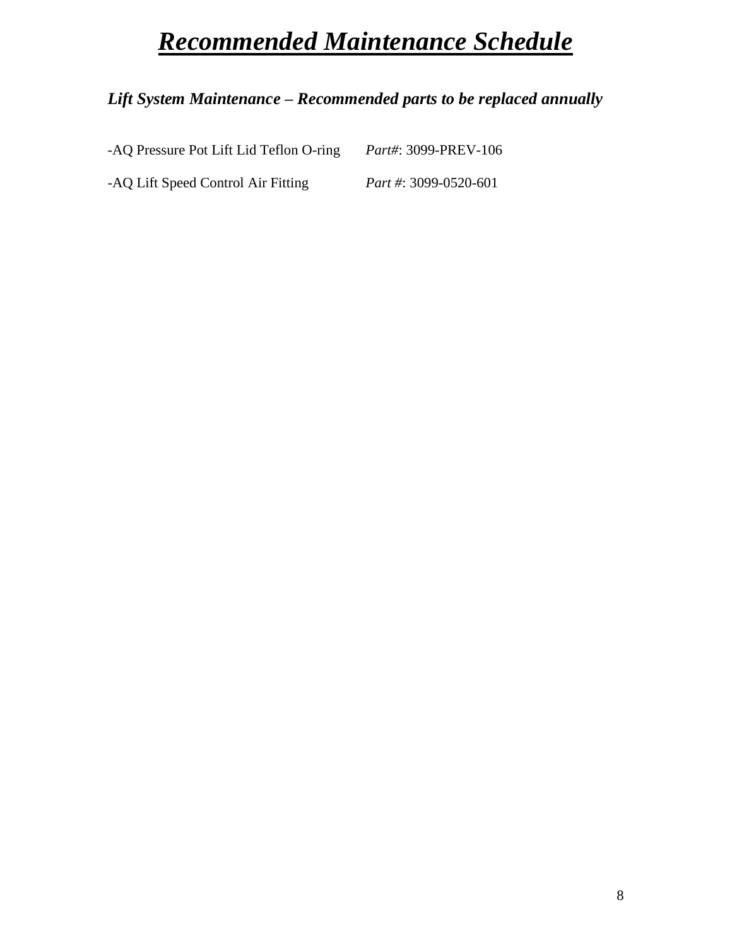# *Recommended Maintenance Schedule*

### *Lift System Maintenance – Recommended parts to be replaced annually*

| -AQ Pressure Pot Lift Lid Teflon O-ring | Part#: 3099-PREV-106  |
|-----------------------------------------|-----------------------|
| -AQ Lift Speed Control Air Fitting      | Part #: 3099-0520-601 |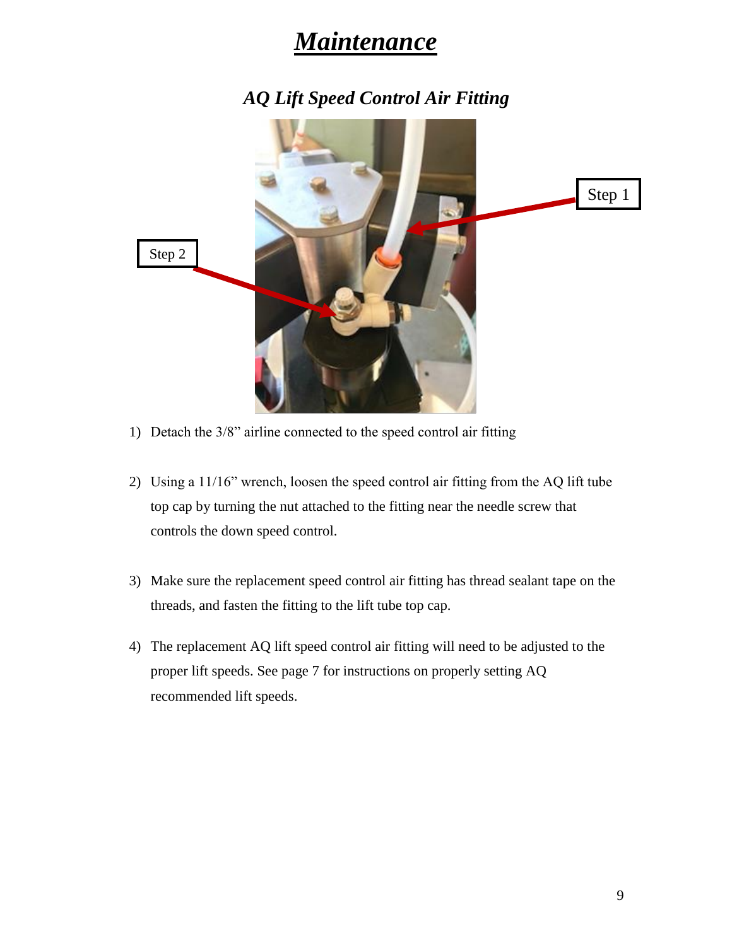### *Maintenance*

*AQ Lift Speed Control Air Fitting*



- 1) Detach the 3/8" airline connected to the speed control air fitting
- 2) Using a 11/16" wrench, loosen the speed control air fitting from the AQ lift tube top cap by turning the nut attached to the fitting near the needle screw that controls the down speed control.
- 3) Make sure the replacement speed control air fitting has thread sealant tape on the threads, and fasten the fitting to the lift tube top cap.
- 4) The replacement AQ lift speed control air fitting will need to be adjusted to the proper lift speeds. See page 7 for instructions on properly setting AQ recommended lift speeds.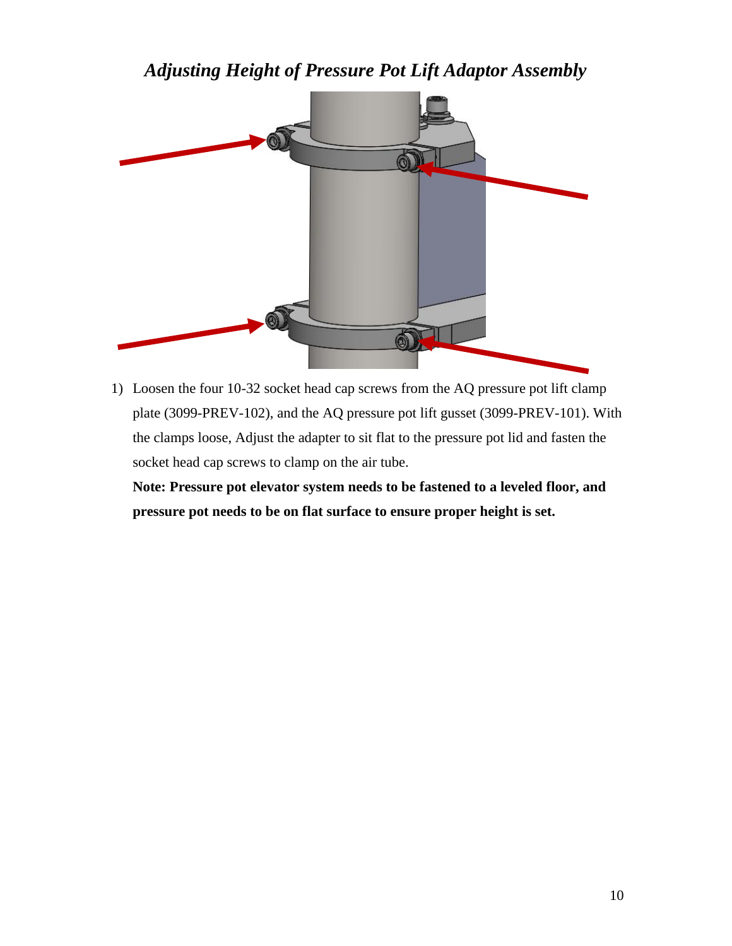*Adjusting Height of Pressure Pot Lift Adaptor Assembly*



1) Loosen the four 10-32 socket head cap screws from the AQ pressure pot lift clamp plate (3099-PREV-102), and the AQ pressure pot lift gusset (3099-PREV-101). With the clamps loose, Adjust the adapter to sit flat to the pressure pot lid and fasten the socket head cap screws to clamp on the air tube.

**Note: Pressure pot elevator system needs to be fastened to a leveled floor, and pressure pot needs to be on flat surface to ensure proper height is set.**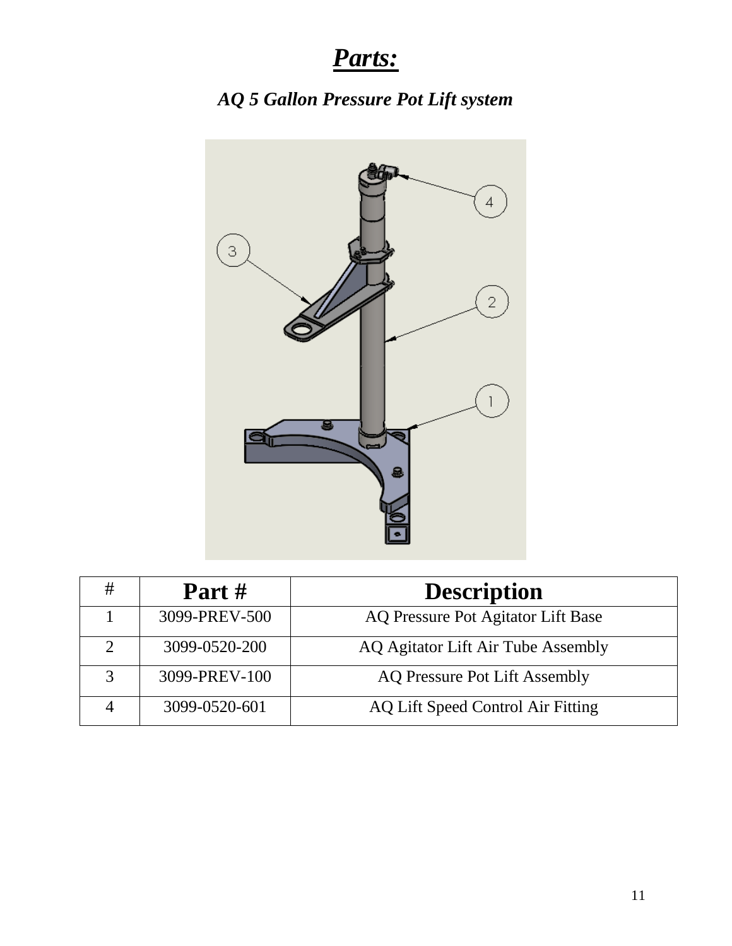# *Parts:*

### *AQ 5 Gallon Pressure Pot Lift system*



| # | Part $#$      | <b>Description</b>                   |
|---|---------------|--------------------------------------|
|   | 3099-PREV-500 | AQ Pressure Pot Agitator Lift Base   |
|   | 3099-0520-200 | AQ Agitator Lift Air Tube Assembly   |
|   | 3099-PREV-100 | <b>AQ Pressure Pot Lift Assembly</b> |
|   | 3099-0520-601 | AQ Lift Speed Control Air Fitting    |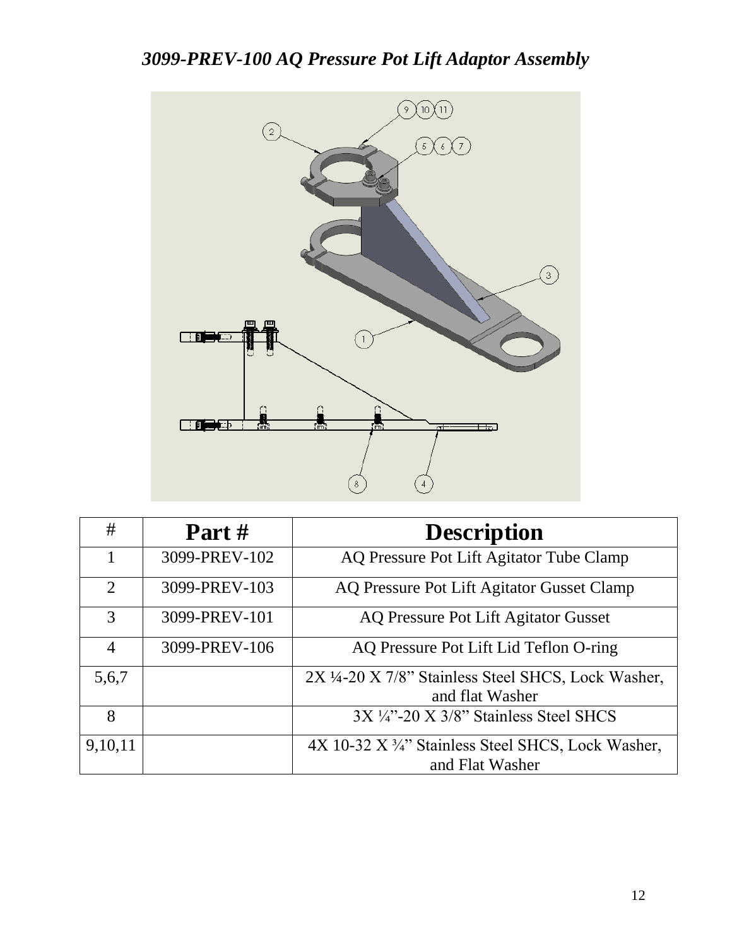### *3099-PREV-100 AQ Pressure Pot Lift Adaptor Assembly*



| #              | Part #        | <b>Description</b>                                                     |
|----------------|---------------|------------------------------------------------------------------------|
| 1              | 3099-PREV-102 | AQ Pressure Pot Lift Agitator Tube Clamp                               |
| 2              | 3099-PREV-103 | AQ Pressure Pot Lift Agitator Gusset Clamp                             |
| 3              | 3099-PREV-101 | AQ Pressure Pot Lift Agitator Gusset                                   |
| $\overline{4}$ | 3099-PREV-106 | AQ Pressure Pot Lift Lid Teflon O-ring                                 |
| 5,6,7          |               | 2X 1/4-20 X 7/8" Stainless Steel SHCS, Lock Washer,<br>and flat Washer |
|                |               |                                                                        |
| 8              |               | $3X\frac{1}{4}$ -20 X $3/8$ " Stainless Steel SHCS                     |
| 9,10,11        |               | 4X 10-32 X 3/4" Stainless Steel SHCS, Lock Washer,                     |
|                |               | and Flat Washer                                                        |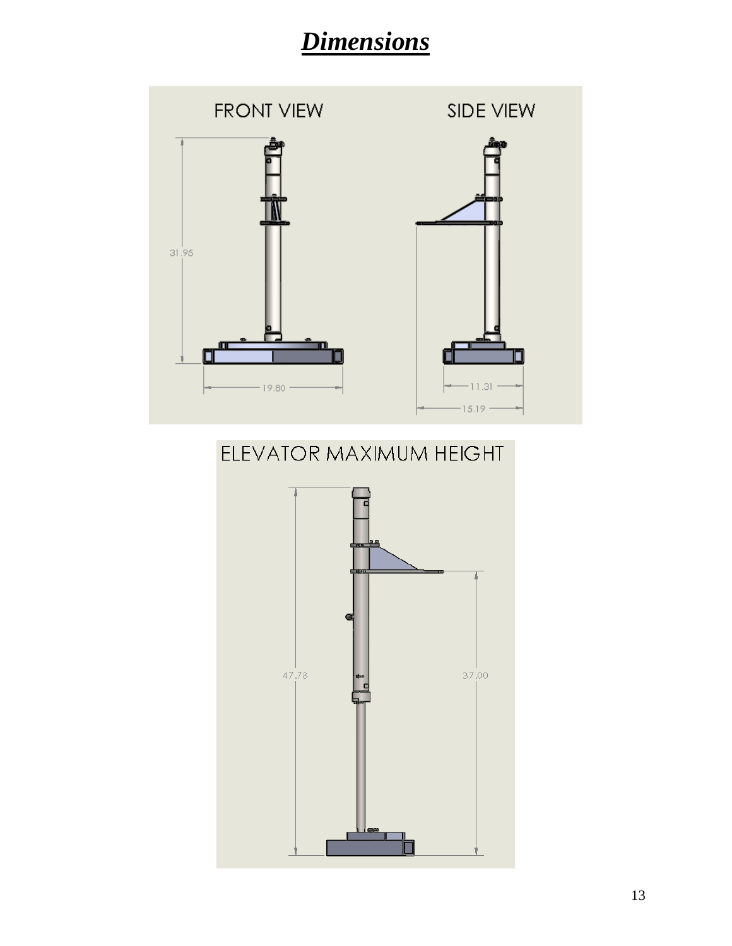# *Dimensions*



### ELEVATOR MAXIMUM HEIGHT

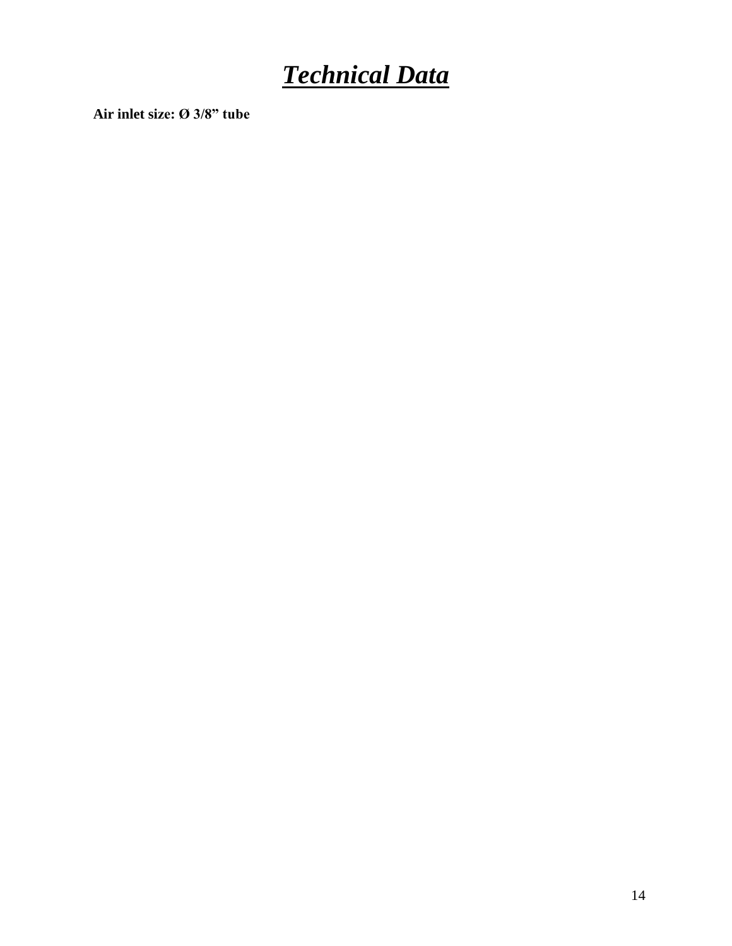# *Technical Data*

**Air inlet size: Ø 3/8" tube**